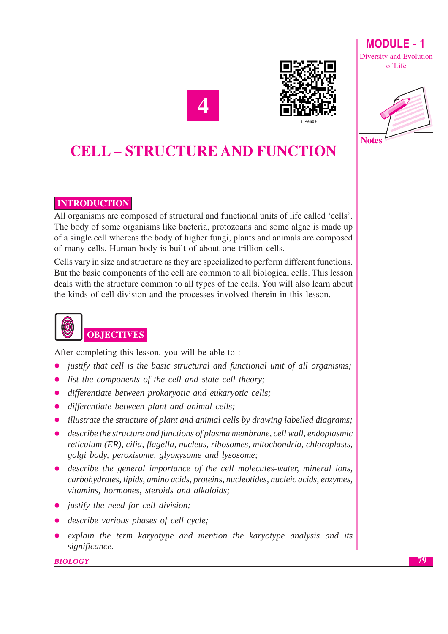

**Notes** 





## **INTRODUCTION**

All organisms are composed of structural and functional units of life called 'cells'. The body of some organisms like bacteria, protozoans and some algae is made up of a single cell whereas the body of higher fungi, plants and animals are composed of many cells. Human body is built of about one trillion cells.

Cells vary in size and structure as they are specialized to perform different functions. But the basic components of the cell are common to all biological cells. This lesson deals with the structure common to all types of the cells. You will also learn about the kinds of cell division and the processes involved therein in this lesson.

## **OBJECTIVES**

After completing this lesson, you will be able to:

- justify that cell is the basic structural and functional unit of all organisms;
- list the components of the cell and state cell theory;  $\bullet$
- differentiate between prokaryotic and eukaryotic cells;
- differentiate between plant and animal cells;
- illustrate the structure of plant and animal cells by drawing labelled diagrams;
- describe the structure and functions of plasma membrane, cell wall, endoplasmic reticulum (ER), cilia, flagella, nucleus, ribosomes, mitochondria, chloroplasts, golgi body, peroxisome, glyoxysome and lysosome;
- describe the general importance of the cell molecules-water, mineral ions, carbohydrates, lipids, amino acids, proteins, nucleotides, nucleic acids, enzymes, vitamins, hormones, steroids and alkaloids;
- justify the need for cell division;
- describe various phases of cell cycle;
- explain the term karyotype and mention the karyotype analysis and its significance.

**BIOLOGY**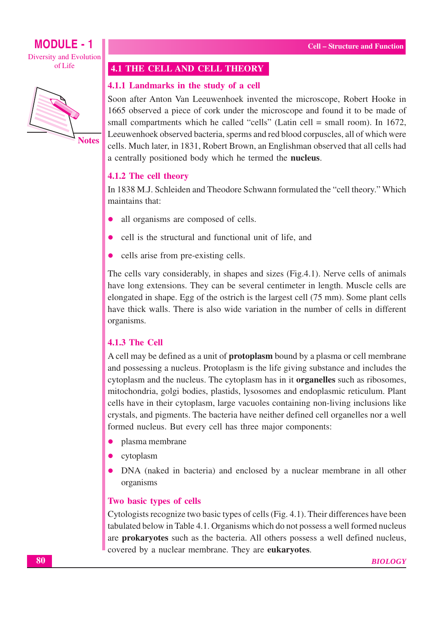ofLife



**Notes** 

#### 4.1 THE CELL AND CELL THEORY

#### 4.1.1 Landmarks in the study of a cell

Soon after Anton Van Leeuwenhoek invented the microscope, Robert Hooke in 1665 observed a piece of cork under the microscope and found it to be made of small compartments which he called "cells" (Latin cell = small room). In 1672, Leeuwenhoek observed bacteria, sperms and red blood corpuscles, all of which were cells. Much later, in 1831, Robert Brown, an Englishman observed that all cells had a centrally positioned body which he termed the **nucleus**.

#### 4.1.2 The cell theory

In 1838 M.J. Schleiden and Theodore Schwann formulated the "cell theory." Which maintains that:

- all organisms are composed of cells.
- cell is the structural and functional unit of life, and
- cells arise from pre-existing cells.

The cells vary considerably, in shapes and sizes (Fig.4.1). Nerve cells of animals have long extensions. They can be several centimeter in length. Muscle cells are elongated in shape. Egg of the ostrich is the largest cell (75 mm). Some plant cells have thick walls. There is also wide variation in the number of cells in different organisms.

#### 4.1.3 The Cell

A cell may be defined as a unit of **protoplasm** bound by a plasma or cell membrane and possessing a nucleus. Protoplasm is the life giving substance and includes the cytoplasm and the nucleus. The cytoplasm has in it **organelles** such as ribosomes, mitochondria, golgi bodies, plastids, lysosomes and endoplasmic reticulum. Plant cells have in their cytoplasm, large vacuoles containing non-living inclusions like crystals, and pigments. The bacteria have neither defined cell organelles nor a well formed nucleus. But every cell has three major components:

- plasma membrane
- cytoplasm
- DNA (naked in bacteria) and enclosed by a nuclear membrane in all other  $\bullet$ organisms

#### Two basic types of cells

Cytologists recognize two basic types of cells (Fig. 4.1). Their differences have been tabulated below in Table 4.1. Organisms which do not possess a well formed nucleus are **prokaryotes** such as the bacteria. All others possess a well defined nucleus, covered by a nuclear membrane. They are **eukaryotes**.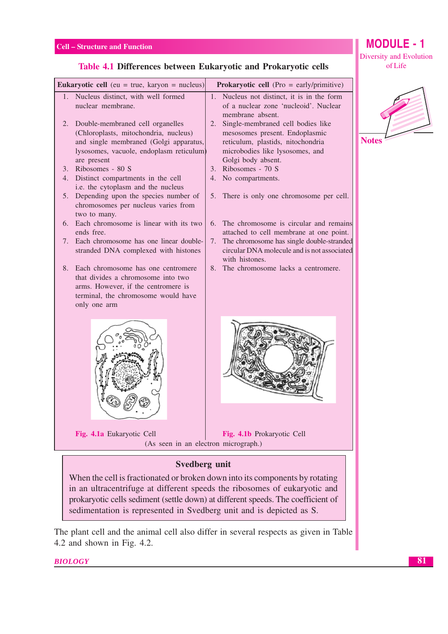#### **MODULE - 1** Diversity and Evolution of Life

#### Table 4.1 Differences between Eukaryotic and Prokaryotic cells

|    | <b>Eukaryotic cell</b> (eu = true, karyon = nucleus)                                                                                                                           | <b>Prokaryotic cell</b> (Pro = early/primitive) |                                                                                                                                                                   |  |  |  |  |  |  |
|----|--------------------------------------------------------------------------------------------------------------------------------------------------------------------------------|-------------------------------------------------|-------------------------------------------------------------------------------------------------------------------------------------------------------------------|--|--|--|--|--|--|
| 1. | Nucleus distinct, with well formed<br>nuclear membrane.                                                                                                                        |                                                 | 1. Nucleus not distinct, it is in the form<br>of a nuclear zone 'nucleoid'. Nuclear<br>membrane absent.                                                           |  |  |  |  |  |  |
| 2. | Double-membraned cell organelles<br>(Chloroplasts, mitochondria, nucleus)<br>and single membraned (Golgi apparatus,<br>lysosomes, vacuole, endoplasm reticulum)<br>are present | 2.                                              | Single-membraned cell bodies like<br>mesosomes present. Endoplasmic<br>reticulum, plastids, nitochondria<br>microbodies like lysosomes, and<br>Golgi body absent. |  |  |  |  |  |  |
|    | 3. Ribosomes - 80 S                                                                                                                                                            |                                                 | 3. Ribosomes - 70 S                                                                                                                                               |  |  |  |  |  |  |
|    | 4. Distinct compartments in the cell<br>i.e. the cytoplasm and the nucleus                                                                                                     |                                                 | 4. No compartments.                                                                                                                                               |  |  |  |  |  |  |
| 5. | Depending upon the species number of<br>chromosomes per nucleus varies from<br>two to many.                                                                                    | 5.                                              | There is only one chromosome per cell.                                                                                                                            |  |  |  |  |  |  |
|    | 6. Each chromosome is linear with its two<br>ends free.                                                                                                                        | 6.                                              | The chromosome is circular and remains<br>attached to cell membrane at one point.                                                                                 |  |  |  |  |  |  |
| 7. | Each chromosome has one linear double-<br>stranded DNA complexed with histones                                                                                                 | 7.                                              | The chromosome has single double-stranded<br>circular DNA molecule and is not associated<br>with histones.                                                        |  |  |  |  |  |  |
| 8. | Each chromosome has one centromere<br>that divides a chromosome into two<br>arms. However, if the centromere is<br>terminal, the chromosome would have<br>only one arm         | 8.                                              | The chromosome lacks a centromere.                                                                                                                                |  |  |  |  |  |  |
|    |                                                                                                                                                                                |                                                 |                                                                                                                                                                   |  |  |  |  |  |  |
|    | Fig. 4.1a Eukaryotic Cell<br>(As seen in an electron micrograph.)                                                                                                              |                                                 | Fig. 4.1b Prokaryotic Cell                                                                                                                                        |  |  |  |  |  |  |
|    | <b>Svedberg unit</b>                                                                                                                                                           |                                                 |                                                                                                                                                                   |  |  |  |  |  |  |

When the cell is fractionated or broken down into its components by rotating in an ultracentrifuge at different speeds the ribosomes of eukaryotic and prokaryotic cells sediment (settle down) at different speeds. The coefficient of sedimentation is represented in Svedberg unit and is depicted as S.

The plant cell and the animal cell also differ in several respects as given in Table 4.2 and shown in Fig. 4.2.

**BIOLOGY**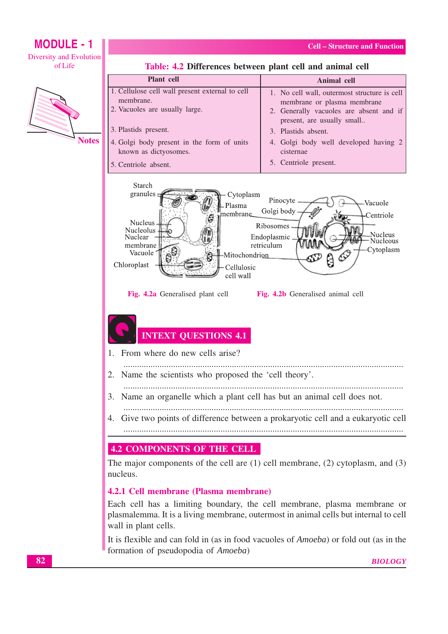

Table: 4.2 Differences between plant cell and animal cell

It is flexible and can fold in (as in food vacuoles of *Amoeba*) or fold out (as in the formation of pseudopodia of Amoeba)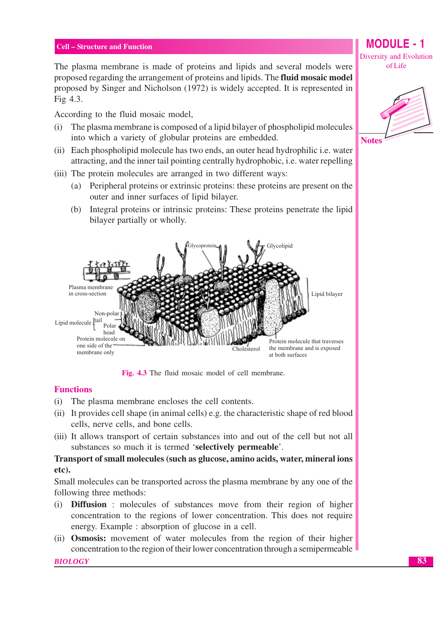The plasma membrane is made of proteins and lipids and several models were proposed regarding the arrangement of proteins and lipids. The fluid mosaic model proposed by Singer and Nicholson (1972) is widely accepted. It is represented in Fig 4.3.

According to the fluid mosaic model,

- $(i)$ The plasma membrane is composed of a lipid bilayer of phospholipid molecules into which a variety of globular proteins are embedded.
- (ii) Each phospholipid molecule has two ends, an outer head hydrophilic i.e. water attracting, and the inner tail pointing centrally hydrophobic, i.e. water repelling
- (iii) The protein molecules are arranged in two different ways:
	- $(a)$ Peripheral proteins or extrinsic proteins: these proteins are present on the outer and inner surfaces of lipid bilayer.
	- (b) Integral proteins or intrinsic proteins: These proteins penetrate the lipid bilayer partially or wholly.



Fig. 4.3 The fluid mosaic model of cell membrane.

#### **Functions**

- (i) The plasma membrane encloses the cell contents.
- (ii) It provides cell shape (in animal cells) e.g. the characteristic shape of red blood cells, nerve cells, and bone cells.
- (iii) It allows transport of certain substances into and out of the cell but not all substances so much it is termed 'selectively permeable'.

#### Transport of small molecules (such as glucose, amino acids, water, mineral ions  $etc).$

Small molecules can be transported across the plasma membrane by any one of the following three methods:

- Diffusion: molecules of substances move from their region of higher  $(i)$ concentration to the regions of lower concentration. This does not require energy. Example : absorption of glucose in a cell.
- (ii) **Osmosis:** movement of water molecules from the region of their higher concentration to the region of their lower concentration through a semipermeable

**BIOLOGY** 

**MODULE - 1 Diversity and Evolution** of Life



83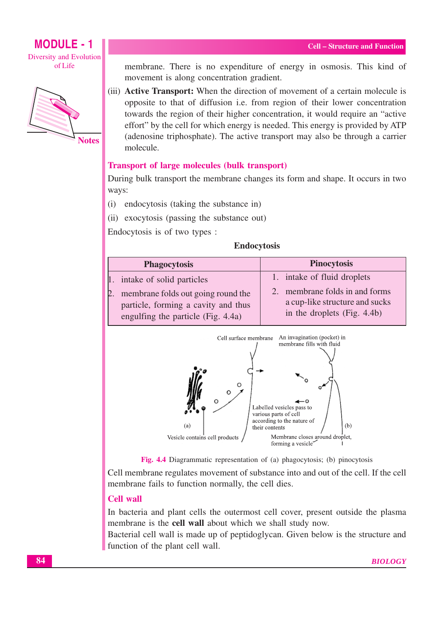

**Notes** 

membrane. There is no expenditure of energy in osmosis. This kind of movement is along concentration gradient.

(iii) Active Transport: When the direction of movement of a certain molecule is opposite to that of diffusion i.e. from region of their lower concentration towards the region of their higher concentration, it would require an "active" effort" by the cell for which energy is needed. This energy is provided by ATP (adenosine triphosphate). The active transport may also be through a carrier molecule.

#### **Transport of large molecules (bulk transport)**

During bulk transport the membrane changes its form and shape. It occurs in two ways:

(i) endocytosis (taking the substance in)

(ii) exocytosis (passing the substance out)

Endocytosis is of two types :

#### **Endocytosis**

| <b>Phagocytosis</b>                                                                                                   | <b>Pinocytosis</b>                                                                              |
|-----------------------------------------------------------------------------------------------------------------------|-------------------------------------------------------------------------------------------------|
| 1. intake of solid particles                                                                                          | 1. intake of fluid droplets                                                                     |
| membrane folds out going round the<br>2.<br>particle, forming a cavity and thus<br>engulfing the particle (Fig. 4.4a) | 2. membrane folds in and forms<br>a cup-like structure and sucks<br>in the droplets (Fig. 4.4b) |





Cell membrane regulates movement of substance into and out of the cell. If the cell membrane fails to function normally, the cell dies.

#### **Cell wall**

In bacteria and plant cells the outermost cell cover, present outside the plasma membrane is the cell wall about which we shall study now.

Bacterial cell wall is made up of peptidoglycan. Given below is the structure and function of the plant cell wall.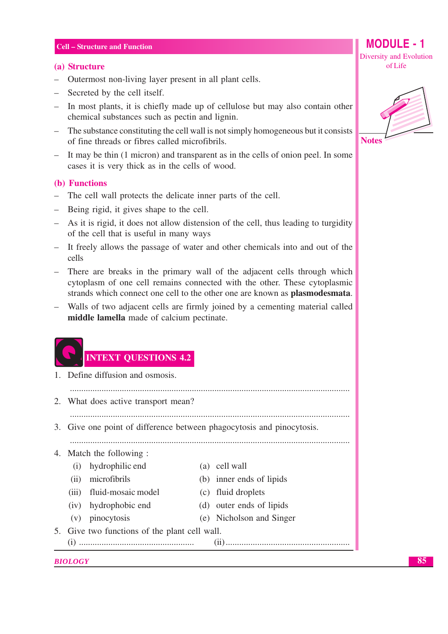#### (a) Structure

- Outermost non-living layer present in all plant cells.
- Secreted by the cell itself.
- In most plants, it is chiefly made up of cellulose but may also contain other chemical substances such as pectin and lignin.
- The substance constituting the cell wall is not simply homogeneous but it consists of fine threads or fibres called microfibrils.
- It may be thin (1 micron) and transparent as in the cells of onion peel. In some cases it is very thick as in the cells of wood.

#### (b) Functions

- The cell wall protects the delicate inner parts of the cell.
- Being rigid, it gives shape to the cell.
- As it is rigid, it does not allow distension of the cell, thus leading to turgidity of the cell that is useful in many ways
- It freely allows the passage of water and other chemicals into and out of the cells
- There are breaks in the primary wall of the adjacent cells through which cytoplasm of one cell remains connected with the other. These cytoplasmic strands which connect one cell to the other one are known as **plasmodesmata**.
- Walls of two adjacent cells are firmly joined by a cementing material called middle lamella made of calcium pectinate.

## **INTEXT QUESTIONS 4.2**

- 1. Define diffusion and osmosis.
- 2. What does active transport mean?

3. Give one point of difference between phagocytosis and pinocytosis.

- 4. Match the following :
	- (i) hydrophilic end
	- (ii) microfibrils
	-
	- (iii) fluid-mosaic model
	- (iv) hydrophobic end
	- $(v)$  pinocytosis

(c) fluid droplets

(a) cell wall

(d) outer ends of lipids

(b) inner ends of lipids

- (e) Nicholson and Singer
- 5. Give two functions of the plant cell wall.

#### **BIOLOGY**

85

**MODULE - 1** 

Diversity and Evolution of Life

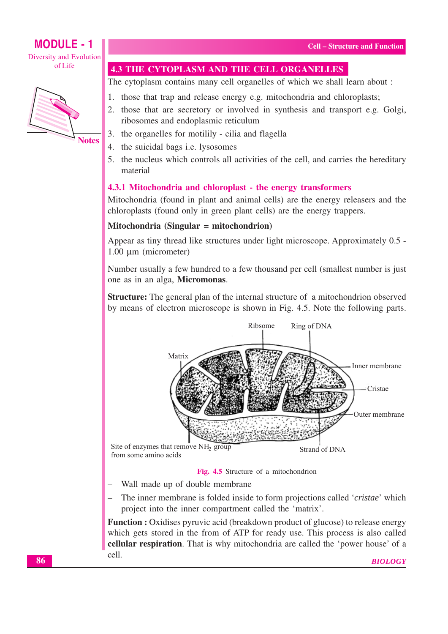## **MODULE - 1**

Diversity and Evolution ofLife



## **4.3 THE CYTOPLASM AND THE CELL ORGANELLES**

The cytoplasm contains many cell organelles of which we shall learn about :

- 1. those that trap and release energy e.g. mitochondria and chloroplasts;
- 2. those that are secretory or involved in synthesis and transport e.g. Golgi, ribosomes and endoplasmic reticulum
- 3. the organelles for motilily cilia and flagella
- 4. the suicidal bags i.e. lysosomes
- 5. the nucleus which controls all activities of the cell, and carries the hereditary material

#### 4.3.1 Mitochondria and chloroplast - the energy transformers

Mitochondria (found in plant and animal cells) are the energy releasers and the chloroplasts (found only in green plant cells) are the energy trappers.

#### Mitochondria (Singular = mitochondrion)

Appear as tiny thread like structures under light microscope. Approximately 0.5 -1.00 um (micrometer)

Number usually a few hundred to a few thousand per cell (smallest number is just one as in an alga, Micromonas.

**Structure:** The general plan of the internal structure of a mitochondrion observed by means of electron microscope is shown in Fig. 4.5. Note the following parts.



#### Fig. 4.5 Structure of a mitochondrion

- Wall made up of double membrane
- The inner membrane is folded inside to form projections called 'cristae' which project into the inner compartment called the 'matrix'.

Function : Oxidises pyruvic acid (breakdown product of glucose) to release energy which gets stored in the from of ATP for ready use. This process is also called cellular respiration. That is why mitochondria are called the 'power house' of a cell. **BIOLOGY**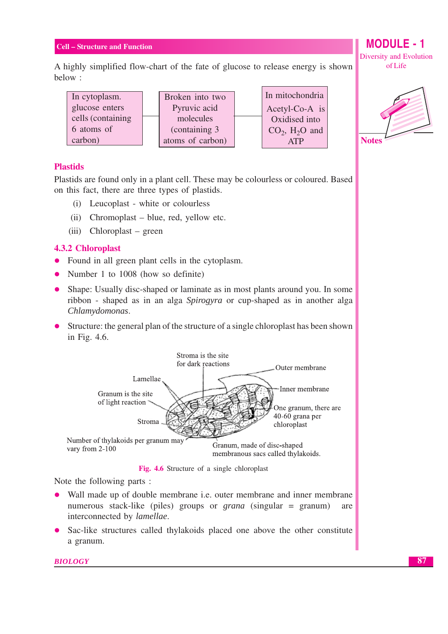A highly simplified flow-chart of the fate of glucose to release energy is shown below:

| In cytoplasm.      | Broken into two  | In mitochondria              |
|--------------------|------------------|------------------------------|
| glucose enters     | Pyruvic acid     | Acetyl-Co-A is               |
| cells (containing) | molecules        | Oxidised into                |
| 6 atoms of         | (containing 3)   | $CO2$ , H <sub>2</sub> O and |
| carbon)            | atoms of carbon) | <b>ATP</b>                   |

#### **Plastids**

Plastids are found only in a plant cell. These may be colourless or coloured. Based on this fact, there are three types of plastids.

- (i) Leucoplast white or colourless
- (ii) Chromoplast blue, red, yellow etc.
- $(iii)$  Chloroplast green

#### **4.3.2 Chloroplast**

- Found in all green plant cells in the cytoplasm.
- Number 1 to 1008 (how so definite)
- Shape: Usually disc-shaped or laminate as in most plants around you. In some ribbon - shaped as in an alga Spirogyra or cup-shaped as in another alga Chlamydomonas.
- Structure: the general plan of the structure of a single chloroplast has been shown in Fig. 4.6.



Fig. 4.6 Structure of a single chloroplast

Note the following parts :

- Wall made up of double membrane *i.e.* outer membrane and inner membrane numerous stack-like (piles) groups or *grana* (singular = granum) are interconnected by *lamellae*.
- Sac-like structures called thylakoids placed one above the other constitute a granum.

**BIOLOGY** 

#### **MODULE - 1 Diversity and Evolution** of Life



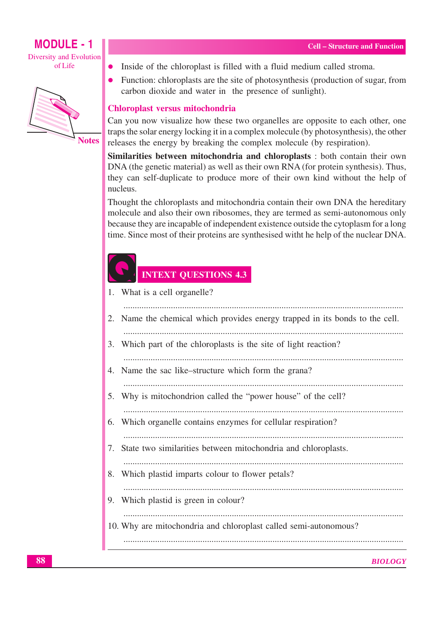

- Inside of the chloroplast is filled with a fluid medium called stroma.
- Function: chloroplasts are the site of photosynthesis (production of sugar, from carbon dioxide and water in the presence of sunlight).

#### Chloroplast versus mitochondria

Can you now visualize how these two organelles are opposite to each other, one traps the solar energy locking it in a complex molecule (by photosynthesis), the other releases the energy by breaking the complex molecule (by respiration).

Similarities between mitochondria and chloroplasts : both contain their own DNA (the genetic material) as well as their own RNA (for protein synthesis). Thus, they can self-duplicate to produce more of their own kind without the help of nucleus

Thought the chloroplasts and mitochondria contain their own DNA the hereditary molecule and also their own ribosomes, they are termed as semi-autonomous only because they are incapable of independent existence outside the cytoplasm for a long time. Since most of their proteins are synthesised with the help of the nuclear DNA.

## **INTEXT QUESTIONS 4.3**

- 1. What is a cell organelle?
- 2. Name the chemical which provides energy trapped in its bonds to the cell. 3. Which part of the chloroplasts is the site of light reaction? 4. Name the sac like-structure which form the grana? 5. Why is mitochondrion called the "power house" of the cell? 6. Which organelle contains enzymes for cellular respiration? 7. State two similarities between mitochondria and chloroplasts. 8. Which plastid imparts colour to flower petals? 9. Which plastid is green in colour? 10. Why are mitochondria and chloroplast called semi-autonomous?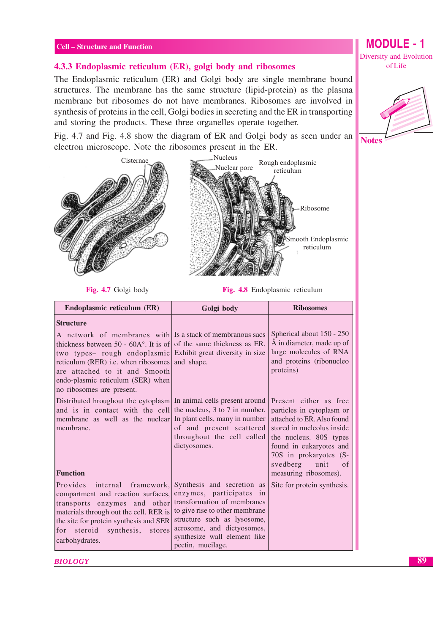#### 4.3.3 Endoplasmic reticulum (ER), golgi body and ribosomes

The Endoplasmic reticulum (ER) and Golgi body are single membrane bound structures. The membrane has the same structure (lipid-protein) as the plasma membrane but ribosomes do not have membranes. Ribosomes are involved in synthesis of proteins in the cell, Golgi bodies in secreting and the ER in transporting and storing the products. These three organelles operate together.

Fig. 4.7 and Fig. 4.8 show the diagram of ER and Golgi body as seen under an electron microscope. Note the ribosomes present in the ER.





Fig. 4.7 Golgi body

Fig. 4.8 Endoplasmic reticulum

| Endoplasmic reticulum (ER)                                                                                                                                                                                                                                                                                                                                                         | Golgi body                                                                                                                                                                                                                                | <b>Ribosomes</b>                                                                                                                                                                                                                            |  |  |
|------------------------------------------------------------------------------------------------------------------------------------------------------------------------------------------------------------------------------------------------------------------------------------------------------------------------------------------------------------------------------------|-------------------------------------------------------------------------------------------------------------------------------------------------------------------------------------------------------------------------------------------|---------------------------------------------------------------------------------------------------------------------------------------------------------------------------------------------------------------------------------------------|--|--|
| <b>Structure</b><br>A network of membranes with Is a stack of membranous sacs<br>thickness between 50 - $60A^{\circ}$ . It is of of the same thickness as ER.<br>two types- rough endoplasmic Exhibit great diversity in size<br>reticulum (RER) i.e. when ribosomes and shape.<br>are attached to it and Smooth<br>endo-plasmic reticulum (SER) when<br>no ribosomes are present. |                                                                                                                                                                                                                                           | Spherical about 150 - 250<br>Å in diameter, made up of<br>large molecules of RNA<br>and proteins (ribonucleo<br>proteins)                                                                                                                   |  |  |
| Distributed hroughout the cytoplasm   In animal cells present around<br>and is in contact with the cell<br>membrane as well as the nuclear<br>membrane.<br><b>Function</b>                                                                                                                                                                                                         | the nucleus, 3 to 7 in number.<br>In plant cells, many in number<br>of and present scattered<br>throughout the cell called<br>dictyosomes.                                                                                                | Present either as free<br>particles in cytoplasm or<br>attached to ER. Also found<br>stored in nucleolus inside<br>the nucleus. 80S types<br>found in eukaryotes and<br>70S in prokaryotes (S-<br>svedberg unit of<br>measuring ribosomes). |  |  |
| Provides internal framework,<br>compartment and reaction surfaces,<br>transports enzymes and other<br>materials through out the cell. RER is<br>the site for protein synthesis and SER<br>for steroid<br>synthesis,<br>stores<br>carbohydrates.                                                                                                                                    | Synthesis and secretion as<br>enzymes, participates in<br>transformation of membranes<br>to give rise to other membrane<br>structure such as lysosome,<br>acrosome, and dictyosomes,<br>synthesize wall element like<br>pectin, mucilage. | Site for protein synthesis.                                                                                                                                                                                                                 |  |  |

**BIOLOGY** 

**MODULE - 1 Diversity and Evolution** of Life

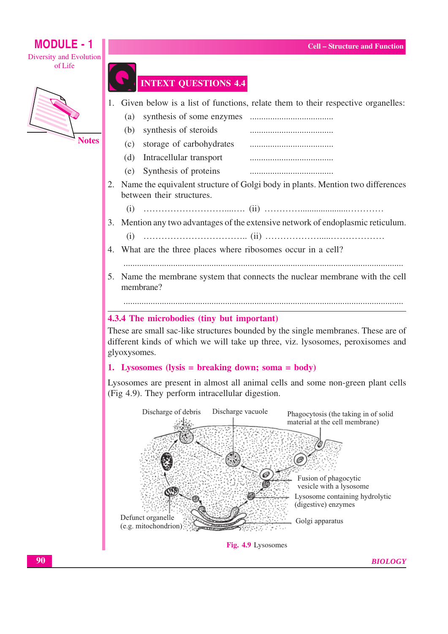

## **INTEXT QUESTIONS 4.4**

1. Given below is a list of functions, relate them to their respective organelles:

- $(a)$
- synthesis of steroids  $(b)$
- $(c)$ storage of carbohydrates
- Intracellular transport  $(d)$
- (e) Synthesis of proteins
- 2. Name the equivalent structure of Golgi body in plants. Mention two differences between their structures.
	- $(i)$
- 3. Mention any two advantages of the extensive network of endoplasmic reticulum.
	-
- 4. What are the three places where ribosomes occur in a cell?
	-
- 5. Name the membrane system that connects the nuclear membrane with the cell membrane?

#### 4.3.4 The microbodies (tiny but important)

These are small sac-like structures bounded by the single membranes. These are of different kinds of which we will take up three, viz. lysosomes, peroxisomes and glyoxysomes.

#### 1. Lysosomes (lysis = breaking down: soma = body)

Lysosomes are present in almost all animal cells and some non-green plant cells (Fig 4.9). They perform intracellular digestion.



Fig. 4.9 Lysosomes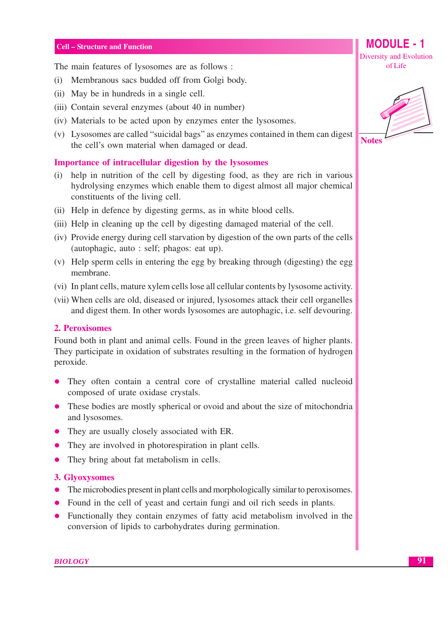The main features of lysosomes are as follows:

- (i) Membranous sacs budded off from Golgi body.
- (ii) May be in hundreds in a single cell.
- (iii) Contain several enzymes (about 40 in number)
- (iv) Materials to be acted upon by enzymes enter the lysosomes.
- (v) Lysosomes are called "suicidal bags" as enzymes contained in them can digest the cell's own material when damaged or dead.

#### Importance of intracellular digestion by the lysosomes

- (i) help in nutrition of the cell by digesting food, as they are rich in various hydrolysing enzymes which enable them to digest almost all major chemical constituents of the living cell.
- (ii) Help in defence by digesting germs, as in white blood cells.
- (iii) Help in cleaning up the cell by digesting damaged material of the cell.
- (iv) Provide energy during cell starvation by digestion of the own parts of the cells (autophagic, auto: self; phagos: eat up).
- (v) Help sperm cells in entering the egg by breaking through (digesting) the egg membrane.
- (vi) In plant cells, mature xylem cells lose all cellular contents by lysosome activity.
- (vii) When cells are old, diseased or injured, lysosomes attack their cell organelles and digest them. In other words lysosomes are autophagic, i.e. self devouring.

#### 2. Peroxisomes

Found both in plant and animal cells. Found in the green leaves of higher plants. They participate in oxidation of substrates resulting in the formation of hydrogen peroxide.

- They often contain a central core of crystalline material called nucleoid composed of urate oxidase crystals.
- These bodies are mostly spherical or ovoid and about the size of mitochondria and lysosomes.
- They are usually closely associated with ER.
- They are involved in photorespiration in plant cells.
- They bring about fat metabolism in cells.  $\bullet$

#### 3. Glyoxysomes

- The microbodies present in plant cells and morphologically similar to peroxisomes.
- Found in the cell of yeast and certain fungi and oil rich seeds in plants.
- Functionally they contain enzymes of fatty acid metabolism involved in the conversion of lipids to carbohydrates during germination.



**MODULE - 1** 

Diversity and Evolution

of Life



91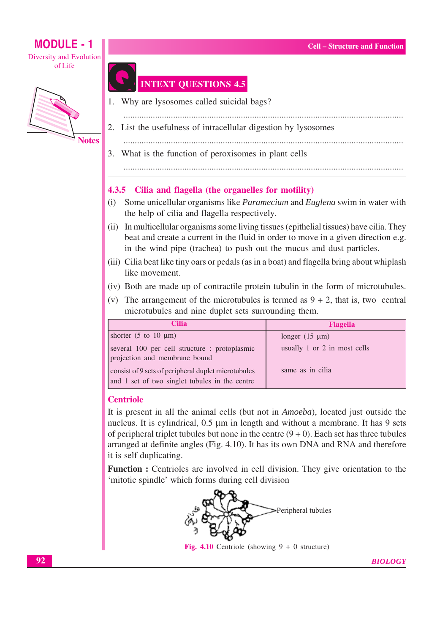

**Notes** 

## **INTEXT QUESTIONS 4.5**

- 1. Why are lysosomes called suicidal bags?
- 2. List the usefulness of intracellular digestion by lysosomes
- 
- 3. What is the function of peroxisomes in plant cells

#### 

#### 4.3.5 Cilia and flagella (the organelles for motility)

- (i) Some unicellular organisms like *Paramecium* and *Euglena* swim in water with the help of cilia and flagella respectively.
- (ii) In multicellular organisms some living tissues (epithelial tissues) have cilia. They beat and create a current in the fluid in order to move in a given direction e.g. in the wind pipe (trachea) to push out the mucus and dust particles.
- (iii) Cilia beat like tiny oars or pedals (as in a boat) and flagella bring about whiplash like movement.
- (iv) Both are made up of contractile protein tubulin in the form of microtubules.
- (v) The arrangement of the microtubules is termed as  $9 + 2$ , that is, two central microtubules and nine duplet sets surrounding them.

| Cilia                                                                                                 | <b>Flagella</b>              |
|-------------------------------------------------------------------------------------------------------|------------------------------|
| shorter $(5 \text{ to } 10 \text{ }\mu\text{m})$                                                      | longer $(15 \mu m)$          |
| several 100 per cell structure : protoplasmic<br>projection and membrane bound                        | usually 1 or 2 in most cells |
| consist of 9 sets of peripheral duplet microtubules<br>and 1 set of two singlet tubules in the centre | same as in cilia             |

#### **Centriole**

It is present in all the animal cells (but not in *Amoeba*), located just outside the nucleus. It is cylindrical,  $0.5 \mu m$  in length and without a membrane. It has 9 sets of peripheral triplet tubules but none in the centre  $(9 + 0)$ . Each set has three tubules arranged at definite angles (Fig. 4.10). It has its own DNA and RNA and therefore it is self duplicating.

Function : Centrioles are involved in cell division. They give orientation to the 'mitotic spindle' which forms during cell division



Fig. 4.10 Centriole (showing  $9 + 0$  structure)

**BIOLOGY**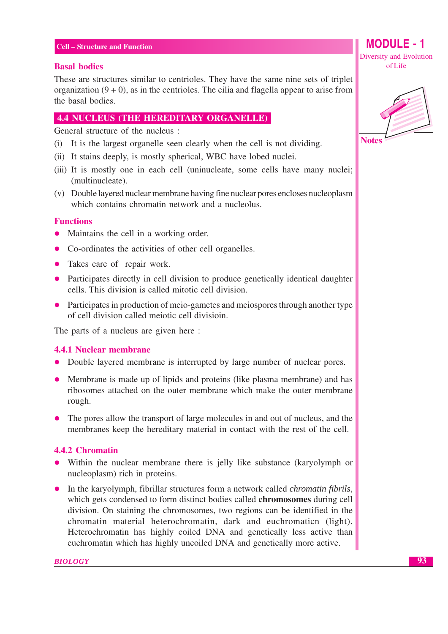#### **Basal bodies**

These are structures similar to centrioles. They have the same nine sets of triplet organization  $(9 + 0)$ , as in the centrioles. The cilia and flagella appear to arise from the basal bodies.

#### **4.4 NUCLEUS (THE HEREDITARY ORGANELLE)**

General structure of the nucleus :

- (i) It is the largest organelle seen clearly when the cell is not dividing.
- (ii) It stains deeply, is mostly spherical, WBC have lobed nuclei.
- (iii) It is mostly one in each cell (uninucleate, some cells have many nuclei; (multinucleate).
- (v) Double layered nuclear membrane having fine nuclear pores encloses nucleoplasm which contains chromatin network and a nucleolus.

#### **Functions**

- Maintains the cell in a working order.
- Co-ordinates the activities of other cell organelles.
- Takes care of repair work.
- Participates directly in cell division to produce genetically identical daughter cells. This division is called mitotic cell division.
- Participates in production of meio-gametes and meiospores through another type of cell division called meiotic cell division.

The parts of a nucleus are given here :

#### **4.4.1 Nuclear membrane**

- Double layered membrane is interrupted by large number of nuclear pores.
- Membrane is made up of lipids and proteins (like plasma membrane) and has ribosomes attached on the outer membrane which make the outer membrane rough.
- The pores allow the transport of large molecules in and out of nucleus, and the membranes keep the hereditary material in contact with the rest of the cell.

#### 4.4.2 Chromatin

- Within the nuclear membrane there is jelly like substance (karyolymph or nucleoplasm) rich in proteins.
- In the karyolymph, fibrillar structures form a network called *chromatin fibrils*, which gets condensed to form distinct bodies called **chromosomes** during cell division. On staining the chromosomes, two regions can be identified in the chromatin material heterochromatin, dark and euchromaticn (light). Heterochromatin has highly coiled DNA and genetically less active than euchromatin which has highly uncoiled DNA and genetically more active.



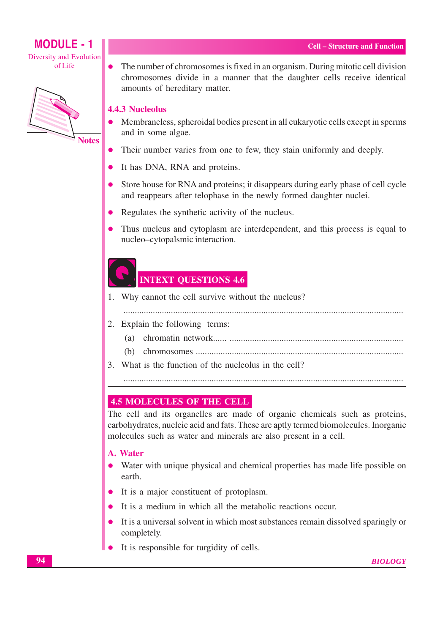

The number of chromosomes is fixed in an organism. During mitotic cell division chromosomes divide in a manner that the daughter cells receive identical amounts of hereditary matter.

#### **4.4.3 Nucleolus**

 $\bullet$ 

- Membraneless, spheroidal bodies present in all eukaryotic cells except in sperms and in some algae.
- Their number varies from one to few, they stain uniformly and deeply.
- It has DNA, RNA and proteins.  $\bullet$
- Store house for RNA and proteins; it disappears during early phase of cell cycle and reappears after telophase in the newly formed daughter nuclei.
- Regulates the synthetic activity of the nucleus.  $\bullet$
- Thus nucleus and cytoplasm are interdependent, and this process is equal to nucleo-cytopalsmic interaction.

## **INTEXT QUESTIONS 4.6**

1. Why cannot the cell survive without the nucleus?

- 2. Explain the following terms:
	-
	-
- 3. What is the function of the nucleolus in the cell?

#### **4.5 MOLECULES OF THE CELL**

The cell and its organelles are made of organic chemicals such as proteins, carbohydrates, nucleic acid and fats. These are aptly termed biomolecules. Inorganic molecules such as water and minerals are also present in a cell.

#### A. Water

- Water with unique physical and chemical properties has made life possible on earth.
- It is a major constituent of protoplasm.
- It is a medium in which all the metabolic reactions occur.
- It is a universal solvent in which most substances remain dissolved sparingly or completely.
- It is responsible for turgidity of cells.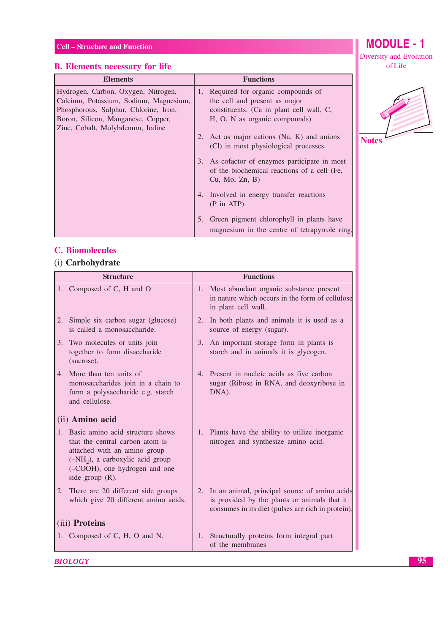## **B.** Elements necessary for life

| <b>Elements</b>                                                               | <b>Functions</b>                                                                                                  |
|-------------------------------------------------------------------------------|-------------------------------------------------------------------------------------------------------------------|
| Hydrogen, Carbon, Oxygen, Nitrogen,<br>Calcium, Potassium, Sodium, Magnesium, | Required for organic compounds of<br>1.<br>the cell and present as major                                          |
| Phosphorous, Sulphur, Chlorine, Iron,                                         | constituents. (Ca in plant cell wall, C,                                                                          |
| Boron, Silicon, Manganese, Copper,<br>Zinc, Cobalt, Molybdenum, Iodine        | H, O, N as organic compounds)                                                                                     |
|                                                                               | 2. Act as major cations (Na, K) and anions<br>(Cl) in most physiological processes.                               |
|                                                                               | As cofactor of enzymes participate in most<br>3.<br>of the biochemical reactions of a cell (Fe,<br>Cu, Mo, Zn, B) |
|                                                                               | 4. Involved in energy transfer reactions<br>$(P \text{ in ATP})$ .                                                |
|                                                                               | Green pigment chlorophyll in plants have<br>magnesium in the centre of tetrapyrrole ring                          |

#### **C.** Biomolecules

### (i) Carbohydrate

**BIOLOGY** 

|                | <b>Structure</b>                                                                                                                                                                                    |    | <b>Functions</b>                                                                                                                                       |
|----------------|-----------------------------------------------------------------------------------------------------------------------------------------------------------------------------------------------------|----|--------------------------------------------------------------------------------------------------------------------------------------------------------|
|                | 1. Composed of C, H and O                                                                                                                                                                           |    | 1. Most abundant organic substance present<br>in nature which occurs in the form of cellulose<br>in plant cell wall.                                   |
| 2.             | Simple six carbon sugar (glucose)<br>is called a monosaccharide.                                                                                                                                    |    | 2. In both plants and animals it is used as a<br>source of energy (sugar).                                                                             |
|                | 3. Two molecules or units join<br>together to form disaccharide<br>(sucrose).                                                                                                                       | 3. | An important storage form in plants is<br>starch and in animals it is glycogen.                                                                        |
|                | 4. More than ten units of<br>monosaccharides join in a chain to<br>form a polysaccharide e.g. starch<br>and cellulose.                                                                              |    | 4. Present in nucleic acids as five carbon<br>sugar (Ribose in RNA, and deoxyribose in<br>DNA).                                                        |
|                | (ii) Amino acid                                                                                                                                                                                     |    |                                                                                                                                                        |
|                | 1. Basic amino acid structure shows<br>that the central carbon atom is<br>attached with an amino group<br>$(-NH2)$ , a carboxylic acid group<br>(-COOH), one hydrogen and one<br>side group $(R)$ . |    | 1. Plants have the ability to utilize inorganic<br>nitrogen and synthesize amino acid.                                                                 |
|                | 2. There are 20 different side groups<br>which give 20 different amino acids.                                                                                                                       |    | 2. In an animal, principal source of amino acids<br>is provided by the plants or animals that it<br>consumes in its diet (pulses are rich in protein). |
| (iii) Proteins |                                                                                                                                                                                                     |    |                                                                                                                                                        |
|                | 1. Composed of C, H, O and N.                                                                                                                                                                       |    | 1. Structurally proteins form integral part<br>of the membranes                                                                                        |

**MODULE - 1** Diversity and Evolution of Life

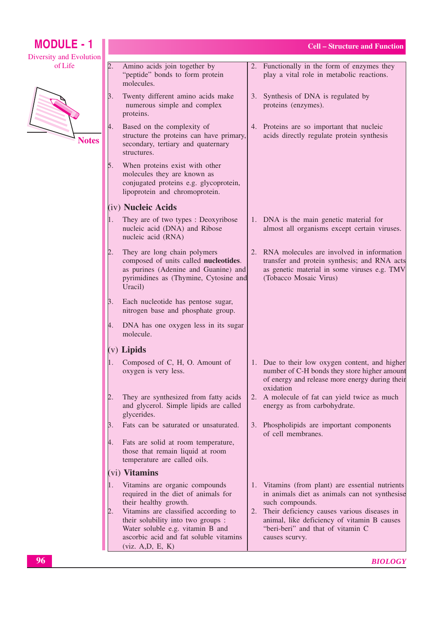| <b>MODULE - 1</b>       |    |                                                                                                                                                                              | <b>Cell – Structure and Function</b>                                                                                                                                   |
|-------------------------|----|------------------------------------------------------------------------------------------------------------------------------------------------------------------------------|------------------------------------------------------------------------------------------------------------------------------------------------------------------------|
| Diversity and Evolution |    |                                                                                                                                                                              |                                                                                                                                                                        |
| of Life                 | 2. | Amino acids join together by<br>"peptide" bonds to form protein<br>molecules.                                                                                                | 2. Functionally in the form of enzymes they<br>play a vital role in metabolic reactions.                                                                               |
|                         | β. | Twenty different amino acids make<br>numerous simple and complex<br>proteins.                                                                                                | 3. Synthesis of DNA is regulated by<br>proteins (enzymes).                                                                                                             |
| <b>Notes</b>            | 4. | Based on the complexity of<br>structure the proteins can have primary,<br>secondary, tertiary and quaternary<br>structures.                                                  | 4. Proteins are so important that nucleic<br>acids directly regulate protein synthesis                                                                                 |
|                         | 5. | When proteins exist with other<br>molecules they are known as<br>conjugated proteins e.g. glycoprotein,<br>lipoprotein and chromoprotein.                                    |                                                                                                                                                                        |
|                         |    | (iv) Nucleic Acids                                                                                                                                                           |                                                                                                                                                                        |
|                         | 1. | They are of two types : Deoxyribose<br>nucleic acid (DNA) and Ribose<br>nucleic acid (RNA)                                                                                   | 1. DNA is the main genetic material for<br>almost all organisms except certain viruses.                                                                                |
|                         | 2. | They are long chain polymers<br>composed of units called nucleotides.<br>as purines (Adenine and Guanine) and<br>pyrimidines as (Thymine, Cytosine and<br>Uracil)            | 2. RNA molecules are involved in information<br>transfer and protein synthesis; and RNA acts<br>as genetic material in some viruses e.g. TMV<br>(Tobacco Mosaic Virus) |
|                         | β. | Each nucleotide has pentose sugar,<br>nitrogen base and phosphate group.                                                                                                     |                                                                                                                                                                        |
|                         | 4. | DNA has one oxygen less in its sugar<br>molecule.                                                                                                                            |                                                                                                                                                                        |
|                         |    | $(v)$ Lipids                                                                                                                                                                 |                                                                                                                                                                        |
|                         |    | Composed of C, H, O. Amount of<br>oxygen is very less.                                                                                                                       | 1. Due to their low oxygen content, and higher<br>number of C-H bonds they store higher amount<br>of energy and release more energy during their<br>oxidation          |
|                         |    | They are synthesized from fatty acids<br>and glycerol. Simple lipids are called<br>glycerides.                                                                               | 2. A molecule of fat can yield twice as much<br>energy as from carbohydrate.                                                                                           |
|                         | 3. | Fats can be saturated or unsaturated.                                                                                                                                        | 3. Phospholipids are important components<br>of cell membranes.                                                                                                        |
|                         | 4. | Fats are solid at room temperature,<br>those that remain liquid at room<br>temperature are called oils.                                                                      |                                                                                                                                                                        |
|                         |    | (vi) Vitamins                                                                                                                                                                |                                                                                                                                                                        |
|                         |    | Vitamins are organic compounds<br>required in the diet of animals for<br>their healthy growth.                                                                               | 1. Vitamins (from plant) are essential nutrients<br>in animals diet as animals can not synthesise<br>such compounds.                                                   |
|                         | 2. | Vitamins are classified according to<br>their solubility into two groups :<br>Water soluble e.g. vitamin B and<br>ascorbic acid and fat soluble vitamins<br>(viz. A,D, E, K) | 2. Their deficiency causes various diseases in<br>animal, like deficiency of vitamin B causes<br>"beri-beri" and that of vitamin C<br>causes scurvy.                   |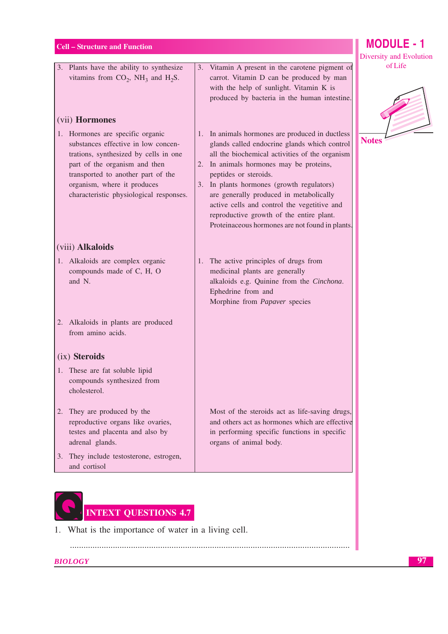#### $Cell - S$

| <b>Cell – Structure and Function</b>                                                                                                                                                                                                                                                | <b>MODULE - 1</b>                                                                                                                                                                                                                                                                                                                                                                                                                                           |                                    |
|-------------------------------------------------------------------------------------------------------------------------------------------------------------------------------------------------------------------------------------------------------------------------------------|-------------------------------------------------------------------------------------------------------------------------------------------------------------------------------------------------------------------------------------------------------------------------------------------------------------------------------------------------------------------------------------------------------------------------------------------------------------|------------------------------------|
| 3. Plants have the ability to synthesize<br>vitamins from $CO_2$ , NH <sub>3</sub> and H <sub>2</sub> S.                                                                                                                                                                            | Vitamin A present in the carotene pigment of<br>3.<br>carrot. Vitamin D can be produced by man<br>with the help of sunlight. Vitamin K is<br>produced by bacteria in the human intestine.                                                                                                                                                                                                                                                                   | Diversity and Evolution<br>of Life |
| (vii) Hormones<br>1. Hormones are specific organic<br>substances effective in low concen-<br>trations, synthesized by cells in one<br>part of the organism and then<br>transported to another part of the<br>organism, where it produces<br>characteristic physiological responses. | 1. In animals hormones are produced in ductless<br>glands called endocrine glands which control<br>all the biochemical activities of the organism<br>2. In animals hormones may be proteins,<br>peptides or steroids.<br>3. In plants hormones (growth regulators)<br>are generally produced in metabolically<br>active cells and control the vegetitive and<br>reproductive growth of the entire plant.<br>Proteinaceous hormones are not found in plants. | <b>Notes</b>                       |
| (viii) Alkaloids                                                                                                                                                                                                                                                                    |                                                                                                                                                                                                                                                                                                                                                                                                                                                             |                                    |
| 1. Alkaloids are complex organic<br>compounds made of C, H, O<br>and N.                                                                                                                                                                                                             | 1. The active principles of drugs from<br>medicinal plants are generally<br>alkaloids e.g. Quinine from the Cinchona.<br>Ephedrine from and<br>Morphine from Papaver species                                                                                                                                                                                                                                                                                |                                    |
| 2. Alkaloids in plants are produced<br>from amino acids.                                                                                                                                                                                                                            |                                                                                                                                                                                                                                                                                                                                                                                                                                                             |                                    |
| (ix) Steroids                                                                                                                                                                                                                                                                       |                                                                                                                                                                                                                                                                                                                                                                                                                                                             |                                    |
| 1. These are fat soluble lipid<br>compounds synthesized from<br>cholesterol.                                                                                                                                                                                                        |                                                                                                                                                                                                                                                                                                                                                                                                                                                             |                                    |
| 2. They are produced by the<br>reproductive organs like ovaries,                                                                                                                                                                                                                    | Most of the steroids act as life-saving drugs,<br>and others act as hormones which are effective                                                                                                                                                                                                                                                                                                                                                            |                                    |

- 2. The repr testes and placenta and also by adrenal glands.
- 3. They include testosterone, estrogen, and cortisol
- in performing specific functions in specific organs of animal body.



1. What is the importance of water in a living cell.

**BIOLOGY**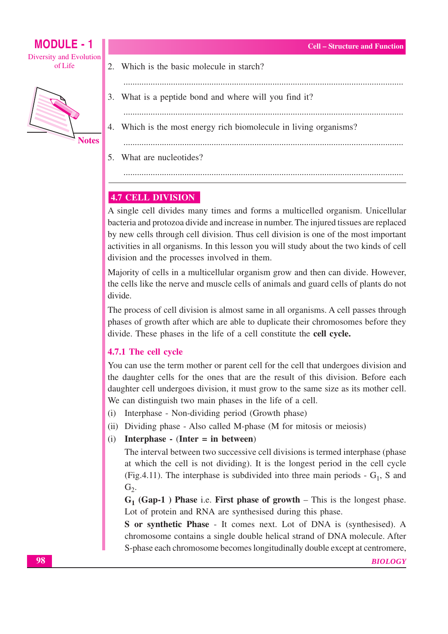



**MODULE - 1** 

- 2. Which is the basic molecule in starch?
- 3. What is a peptide bond and where will you find it?
- 
- 4. Which is the most energy rich biomolecule in living organisms?

5. What are nucleotides?

## **4.7 CELL DIVISION**

A single cell divides many times and forms a multicelled organism. Unicellular bacteria and protozoa divide and increase in number. The injured tissues are replaced by new cells through cell division. Thus cell division is one of the most important activities in all organisms. In this lesson you will study about the two kinds of cell division and the processes involved in them.

Majority of cells in a multicellular organism grow and then can divide. However, the cells like the nerve and muscle cells of animals and guard cells of plants do not divide.

The process of cell division is almost same in all organisms. A cell passes through phases of growth after which are able to duplicate their chromosomes before they divide. These phases in the life of a cell constitute the cell cycle.

#### 4.7.1 The cell cycle

You can use the term mother or parent cell for the cell that undergoes division and the daughter cells for the ones that are the result of this division. Before each daughter cell undergoes division, it must grow to the same size as its mother cell. We can distinguish two main phases in the life of a cell.

- (i) Interphase Non-dividing period (Growth phase)
- (ii) Dividing phase Also called M-phase (M for mitosis or meiosis)
- (i) Interphase (Inter = in between)

The interval between two successive cell divisions is termed interphase (phase) at which the cell is not dividing). It is the longest period in the cell cycle (Fig. 4.11). The interphase is subdivided into three main periods -  $G_1$ , S and  $G<sub>2</sub>$ .

 $G_1$  (Gap-1) Phase i.e. First phase of growth – This is the longest phase. Lot of protein and RNA are synthesised during this phase.

S or synthetic Phase - It comes next. Lot of DNA is (synthesised). A chromosome contains a single double helical strand of DNA molecule. After S-phase each chromosome becomes longitudinally double except at centromere,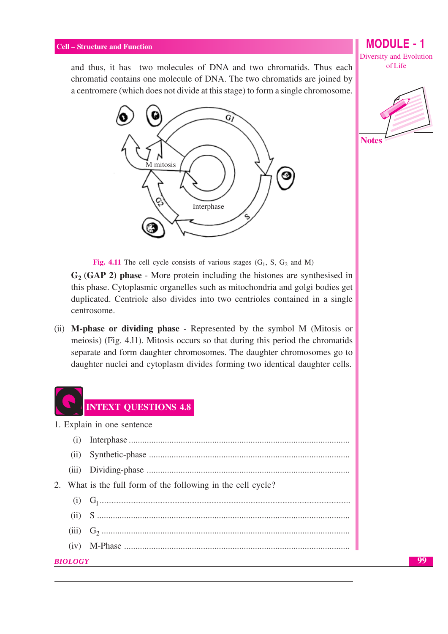and thus, it has two molecules of DNA and two chromatids. Thus each chromatid contains one molecule of DNA. The two chromatids are joined by a centromere (which does not divide at this stage) to form a single chromosome.



**MODULE - 1 Diversity and Evolution** of Life



Fig. 4.11 The cell cycle consists of various stages  $(G_1, S, G_2 \text{ and } M)$ 

 $G_2$  (GAP 2) phase - More protein including the histones are synthesised in this phase. Cytoplasmic organelles such as mitochondria and golgi bodies get duplicated. Centriole also divides into two centrioles contained in a single centrosome.

(ii) M-phase or dividing phase - Represented by the symbol M (Mitosis or meiosis) (Fig. 4.11). Mitosis occurs so that during this period the chromatids separate and form daughter chromosomes. The daughter chromosomes go to daughter nuclei and cytoplasm divides forming two identical daughter cells.

|         | <b>INTEXT QUESTIONS 4.8</b>                               |
|---------|-----------------------------------------------------------|
|         | 1. Explain in one sentence                                |
| (i)     |                                                           |
| (11)    |                                                           |
|         |                                                           |
| 2.      | What is the full form of the following in the cell cycle? |
|         |                                                           |
|         |                                                           |
|         |                                                           |
| (iv)    |                                                           |
| BIOLOGY |                                                           |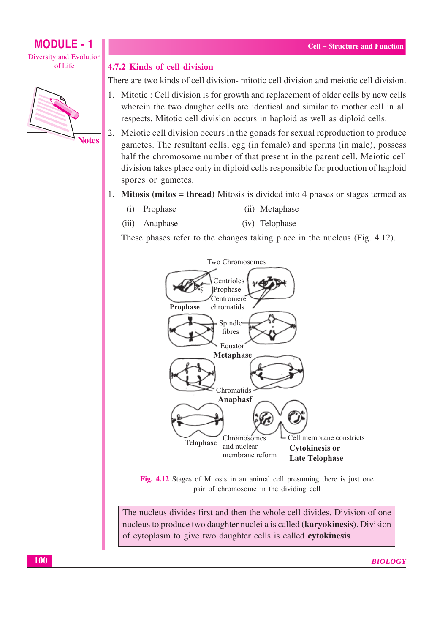ofLife



#### 4.7.2 Kinds of cell division

There are two kinds of cell division- mitotic cell division and mejotic cell division.

- 1. Mitotic : Cell division is for growth and replacement of older cells by new cells wherein the two daugher cells are identical and similar to mother cell in all respects. Mitotic cell division occurs in haploid as well as diploid cells.
- 2. Meiotic cell division occurs in the gonads for sexual reproduction to produce gametes. The resultant cells, egg (in female) and sperms (in male), possess half the chromosome number of that present in the parent cell. Meiotic cell division takes place only in diploid cells responsible for production of haploid spores or gametes.
- 1. Mitosis (mitos = thread) Mitosis is divided into 4 phases or stages termed as
	- $(i)$ Prophase (ii) Metaphase
	- $(iii)$ Anaphase (iv) Telophase

These phases refer to the changes taking place in the nucleus (Fig. 4.12).



Fig. 4.12 Stages of Mitosis in an animal cell presuming there is just one pair of chromosome in the dividing cell

The nucleus divides first and then the whole cell divides. Division of one nucleus to produce two daughter nuclei a is called (karyokinesis). Division of cytoplasm to give two daughter cells is called cytokinesis.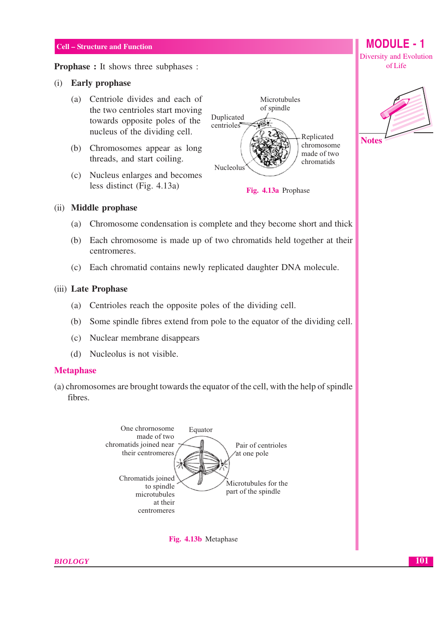**Prophase :** It shows three subphases :

#### (i) Early prophase

- (a) Centriole divides and each of the two centrioles start moving towards opposite poles of the nucleus of the dividing cell.
- (b) Chromosomes appear as long threads, and start coiling.
- (c) Nucleus enlarges and becomes less distinct (Fig. 4.13a)







## (ii) Middle prophase

- Chromosome condensation is complete and they become short and thick (a)
- (b) Each chromosome is made up of two chromatids held together at their centromeres.
- Each chromatid contains newly replicated daughter DNA molecule.  $(c)$

#### (iii) Late Prophase

- (a) Centrioles reach the opposite poles of the dividing cell.
- (b) Some spindle fibres extend from pole to the equator of the dividing cell.
- (c) Nuclear membrane disappears
- (d) Nucleolus is not visible.

#### **Metaphase**

(a) chromosomes are brought towards the equator of the cell, with the help of spindle fibres.





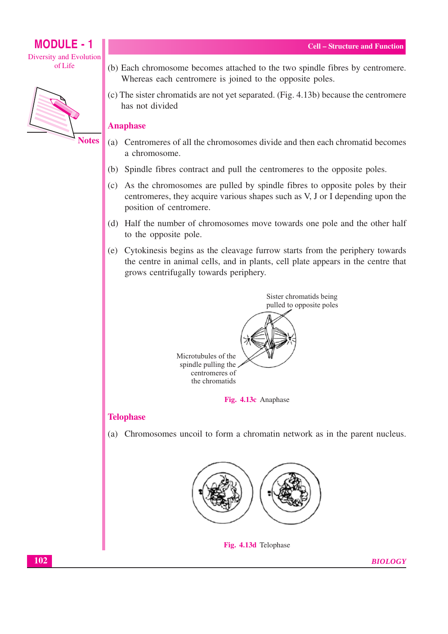

**Notes** 

- (b) Each chromosome becomes attached to the two spindle fibres by centromere. Whereas each centromere is joined to the opposite poles.
- (c) The sister chromatids are not yet separated. (Fig. 4.13b) because the centromere has not divided

#### **Anaphase**

- (a) Centromeres of all the chromosomes divide and then each chromatid becomes a chromosome.
- (b) Spindle fibres contract and pull the centromeres to the opposite poles.
- (c) As the chromosomes are pulled by spindle fibres to opposite poles by their centromeres, they acquire various shapes such as V, J or I depending upon the position of centromere.
- (d) Half the number of chromosomes move towards one pole and the other half to the opposite pole.
- (e) Cytokinesis begins as the cleavage furrow starts from the periphery towards the centre in animal cells, and in plants, cell plate appears in the centre that grows centrifugally towards periphery.



#### **Telophase**

(a) Chromosomes uncoil to form a chromatin network as in the parent nucleus.



Fig. 4.13d Telophase

**BIOLOGY**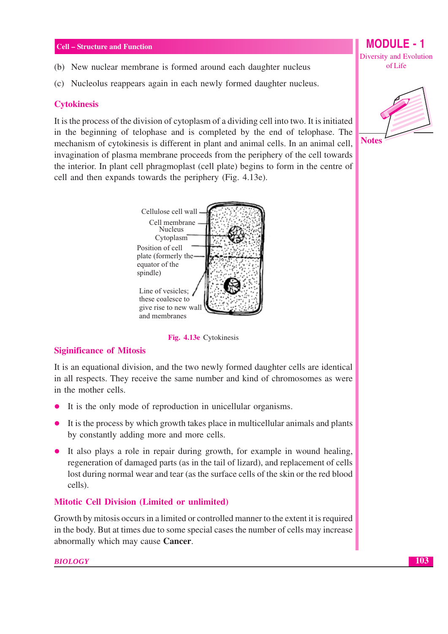- (b) New nuclear membrane is formed around each daughter nucleus
- (c) Nucleolus reappears again in each newly formed daughter nucleus.

#### **Cytokinesis**

It is the process of the division of cytoplasm of a dividing cell into two. It is initiated in the beginning of telophase and is completed by the end of telophase. The mechanism of cytokinesis is different in plant and animal cells. In an animal cell, invagination of plasma membrane proceeds from the periphery of the cell towards the interior. In plant cell phragmoplast (cell plate) begins to form in the centre of cell and then expands towards the periphery (Fig. 4.13e).



Fig. 4.13e Cytokinesis

#### **Siginificance of Mitosis**

It is an equational division, and the two newly formed daughter cells are identical in all respects. They receive the same number and kind of chromosomes as were in the mother cells.

- It is the only mode of reproduction in unicellular organisms.  $\bullet$
- It is the process by which growth takes place in multicellular animals and plants  $\bullet$ by constantly adding more and more cells.
- It also plays a role in repair during growth, for example in wound healing, regeneration of damaged parts (as in the tail of lizard), and replacement of cells lost during normal wear and tear (as the surface cells of the skin or the red blood cells).

#### **Mitotic Cell Division (Limited or unlimited)**

Growth by mitosis occurs in a limited or controlled manner to the extent it is required in the body. But at times due to some special cases the number of cells may increase abnormally which may cause Cancer.

#### **BIOLOGY**

**MODULE - 1** Diversity and Evolution of Life

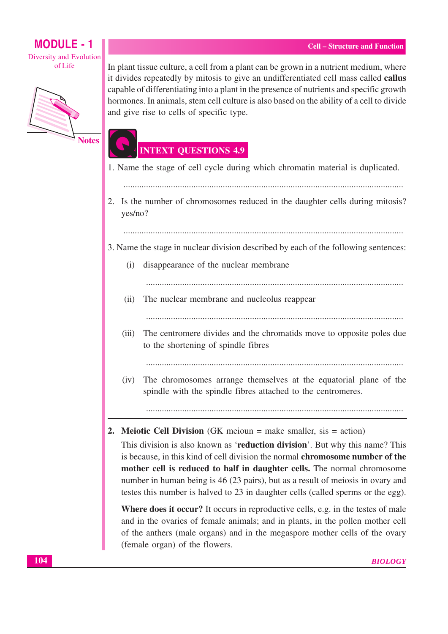### **MODULE - 1** Diversity and Evolution ofLife



**Notes** 

In plant tissue culture, a cell from a plant can be grown in a nutrient medium, where it divides repeatedly by mitosis to give an undifferentiated cell mass called **callus** capable of differentiating into a plant in the presence of nutrients and specific growth hormones. In animals, stem cell culture is also based on the ability of a cell to divide and give rise to cells of specific type.

## **INTEXT QUESTIONS 4.9**

- 1. Name the stage of cell cycle during which chromatin material is duplicated.
	-
- 2. Is the number of chromosomes reduced in the daughter cells during mitosis? yes/no?
	-

3. Name the stage in nuclear division described by each of the following sentences:

(i) disappearance of the nuclear membrane

- $(ii)$ The nuclear membrane and nucleolus reappear
	-
- The centromere divides and the chromatids move to opposite poles due  $(iii)$ to the shortening of spindle fibres

The chromosomes arrange themselves at the equatorial plane of the  $(iv)$ spindle with the spindle fibres attached to the centromeres.

#### **2. Meiotic Cell Division** (GK meioun  $=$  make smaller, sis  $=$  action)

This division is also known as **reduction division**'. But why this name? This is because, in this kind of cell division the normal **chromosome number of the** mother cell is reduced to half in daughter cells. The normal chromosome number in human being is 46 (23 pairs), but as a result of meiosis in ovary and testes this number is halved to 23 in daughter cells (called sperms or the egg).

Where does it occur? It occurs in reproductive cells, e.g. in the testes of male and in the ovaries of female animals; and in plants, in the pollen mother cell of the anthers (male organs) and in the megaspore mother cells of the ovary (female organ) of the flowers.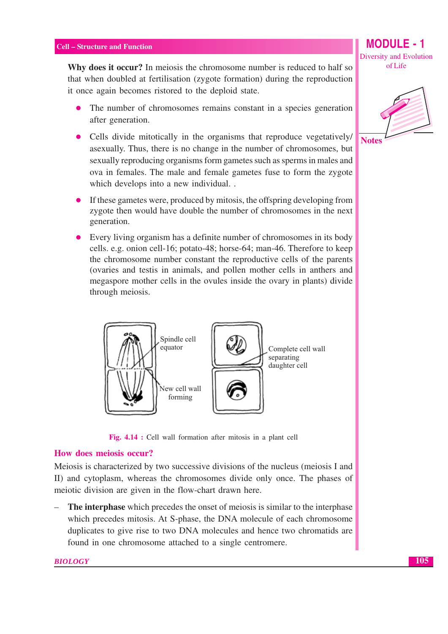Why does it occur? In meiosis the chromosome number is reduced to half so that when doubled at fertilisation (zygote formation) during the reproduction it once again becomes ristored to the deploid state.

- The number of chromosomes remains constant in a species generation after generation.
- Cells divide mitotically in the organisms that reproduce vegetatively/ asexually. Thus, there is no change in the number of chromosomes, but sexually reproducing organisms form gametes such as sperms in males and ova in females. The male and female gametes fuse to form the zygote which develops into a new individual..
- If these gametes were, produced by mitosis, the offspring developing from zygote then would have double the number of chromosomes in the next generation.
- Every living organism has a definite number of chromosomes in its body cells. e.g. onion cell-16; potato-48; horse-64; man-46. Therefore to keep the chromosome number constant the reproductive cells of the parents (ovaries and testis in animals, and pollen mother cells in anthers and megaspore mother cells in the ovules inside the ovary in plants) divide through meiosis.



Fig. 4.14 : Cell wall formation after mitosis in a plant cell

#### How does meiosis occur?

Meiosis is characterized by two successive divisions of the nucleus (meiosis I and II) and cytoplasm, whereas the chromosomes divide only once. The phases of meiotic division are given in the flow-chart drawn here.

The interphase which precedes the onset of meiosis is similar to the interphase which precedes mitosis. At S-phase, the DNA molecule of each chromosome duplicates to give rise to two DNA molecules and hence two chromatids are found in one chromosome attached to a single centromere.

**Diversity and Evolution** of Life

**MODULE - 1** 

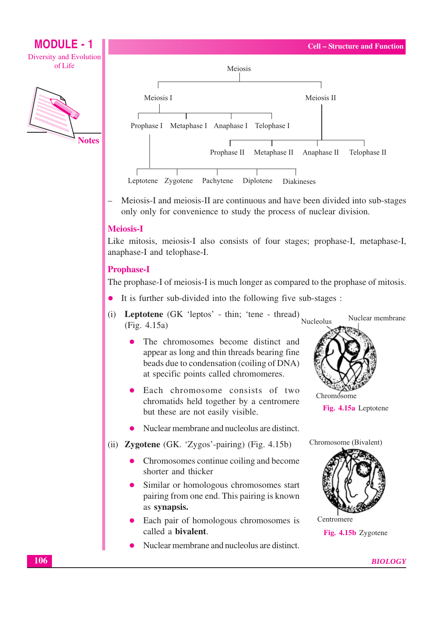



Meiosis-I and meiosis-II are continuous and have been divided into sub-stages only only for convenience to study the process of nuclear division.

#### **Meiosis-I**

Like mitosis, meiosis-I also consists of four stages; prophase-I, metaphase-I, anaphase-I and telophase-I.

#### **Prophase-I**

The prophase-I of meiosis-I is much longer as compared to the prophase of mitosis.

- It is further sub-divided into the following five sub-stages:
- (i) Leptotene (GK 'leptos' thin; 'tene thread) Nuclear membrane Nucleolus  $(Fig. 4.15a)$ 
	- The chromosomes become distinct and appear as long and thin threads bearing fine beads due to condensation (coiling of DNA) at specific points called chromomeres.
	- Each chromosome consists of two chromatids held together by a centromere but these are not easily visible.
	- Nuclear membrane and nucleolus are distinct.
- (ii) Zygotene (GK. 'Zygos'-pairing) (Fig. 4.15b)
	- Chromosomes continue coiling and become shorter and thicker
	- Similar or homologous chromosomes start pairing from one end. This pairing is known as synapsis.
	- Each pair of homologous chromosomes is called a **bivalent**.
	- Nuclear membrane and nucleolus are distinct.



Fig. 4.15a Leptotene



Centromere Fig. 4.15b Zygotene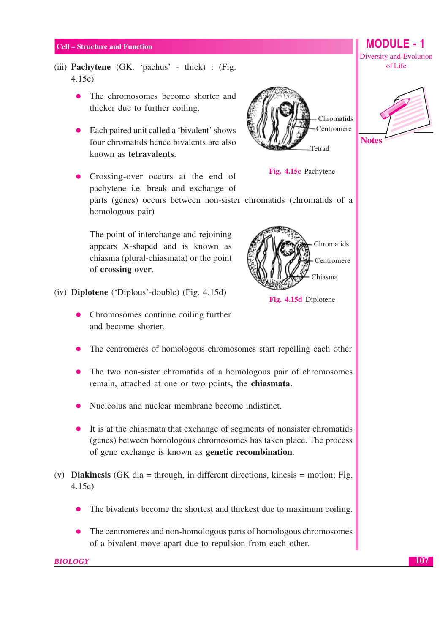- (iii) **Pachytene** (GK. 'pachus' thick) : (Fig.  $4.15c$ 
	- The chromosomes become shorter and thicker due to further coiling.
	- Each paired unit called a 'bivalent' shows four chromatids hence bivalents are also known as tetravalents.
	- Crossing-over occurs at the end of pachytene i.e. break and exchange of parts (genes) occurs between non-sister chromatids (chromatids of a homologous pair)

The point of interchange and rejoining appears X-shaped and is known as chiasma (plural-chiasmata) or the point of crossing over.

- $(iv)$  Diplotene ('Diplous'-double) (Fig. 4.15d)
	- Chromosomes continue coiling further and become shorter.
	- The centromeres of homologous chromosomes start repelling each other
	- The two non-sister chromatids of a homologous pair of chromosomes remain, attached at one or two points, the chiasmata.
	- Nucleolus and nuclear membrane become indistinct.
	- It is at the chiasmata that exchange of segments of nonsister chromatids (genes) between homologous chromosomes has taken place. The process of gene exchange is known as **genetic recombination**.
- (v) **Diakinesis** (GK dia = through, in different directions, kinesis = motion; Fig.  $4.15e$ 
	- The bivalents become the shortest and thickest due to maximum coiling.
	- The centromeres and non-homologous parts of homologous chromosomes  $\bullet$ of a bivalent move apart due to repulsion from each other.



Fig. 4.15c Pachytene



**MODULE - 1** 

**Diversity and Evolution** 



Fig. 4.15d Diplotene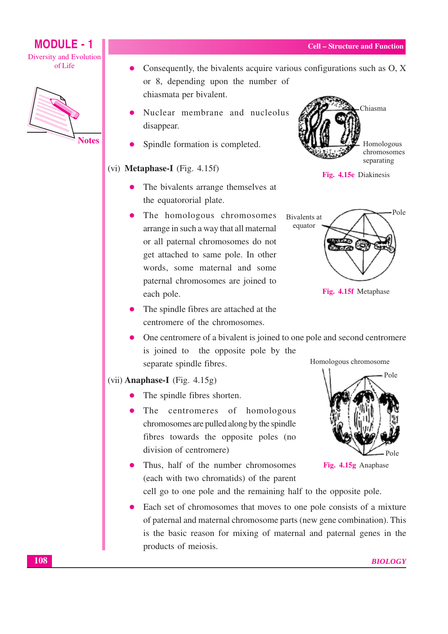



Consequently, the bivalents acquire various configurations such as O, X or 8, depending upon the number of chiasmata per bivalent.

- Nuclear membrane and nucleolus disappear.
- Spindle formation is completed.

#### $(vi)$  Metaphase-I (Fig. 4.15f)

- The bivalents arrange themselves at the equatororial plate.
- The homologous chromosomes arrange in such a way that all maternal or all paternal chromosomes do not get attached to same pole. In other words, some maternal and some paternal chromosomes are joined to each pole.
- The spindle fibres are attached at the centromere of the chromosomes.





Fig. 4.15f Metaphase

One centromere of a bivalent is joined to one pole and second centromere is joined to the opposite pole by the Homologous chromosome separate spindle fibres.

#### $(vii)$  Anaphase-I (Fig. 4.15g)

- The spindle fibres shorten.
- The centromeres of homologous chromosomes are pulled along by the spindle fibres towards the opposite poles (no division of centromere)
- Thus, half of the number chromosomes (each with two chromatids) of the parent

cell go to one pole and the remaining half to the opposite pole.

Each set of chromosomes that moves to one pole consists of a mixture of paternal and maternal chromosome parts (new gene combination). This is the basic reason for mixing of maternal and paternal genes in the products of meiosis.



Fig. 4.15g Anaphase

Chiasma

Homologous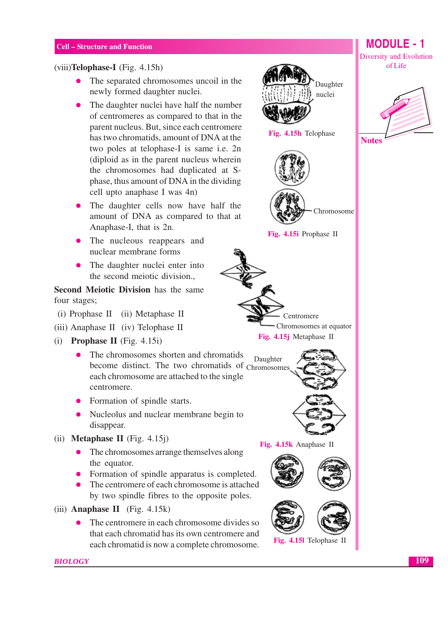#### $(viii)$ **Telophase-I** (Fig. 4.15h)

- The separated chromosomes uncoil in the newly formed daughter nuclei.
- The daughter nuclei have half the number of centromeres as compared to that in the parent nucleus. But, since each centromere has two chromatids, amount of DNA at the two poles at telophase-I is same i.e. 2n (diploid as in the parent nucleus wherein the chromosomes had duplicated at Sphase, thus amount of DNA in the dividing cell upto anaphase I was 4n)
- The daughter cells now have half the amount of DNA as compared to that at Anaphase-I, that is 2n.
- The nucleous reappears and nuclear membrane forms
- The daughter nuclei enter into the second meiotic division.,

**Second Meiotic Division** has the same four stages;

- (i) Prophase II (ii) Metaphase II
- (iii) Anaphase II (iv) Telophase II
- (i) Prophase II (Fig.  $4.15i$ )
	- The chromosomes shorten and chromatids  $\bullet$ become distinct. The two chromatids of Chromosomes each chromosome are attached to the single centromere.
	- Formation of spindle starts.
	- Nucleolus and nuclear membrane begin to disappear.
- (ii) **Metaphase II** (Fig.  $4.15j$ )
	- The chromosomes arrange themselves along the equator.
	- Formation of spindle apparatus is completed.
	- The centromere of each chromosome is attached by two spindle fibres to the opposite poles.
- $(iii)$  Anaphase II (Fig. 4.15k)

**BIOLOGY** 

The centromere in each chromosome divides so that each chromatid has its own centromere and each chromatid is now a complete chromosome.



Fig. 4.15h Telophase





Fig. 4.15i Prophase II





Fig. 4.15k Anaphase II



**Diversity and Evolution** of Life

**MODULE - 1** 



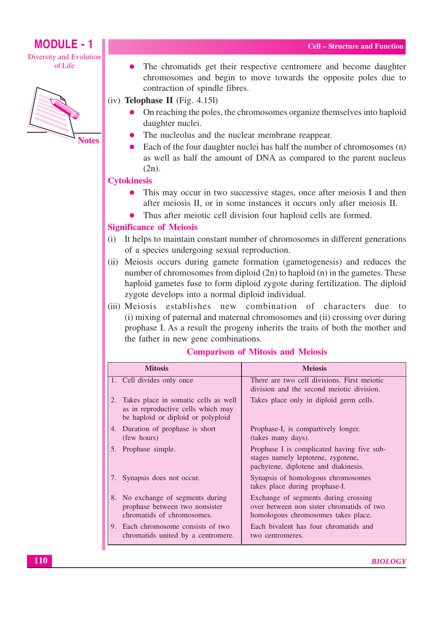## **MODULE - 1**

Diversity and Evolution ofLife



The chromatids get their respective centromere and become daughter ă chromosomes and begin to move towards the opposite poles due to contraction of spindle fibres.

 $(iv)$  Telophase II (Fig. 4.151)

- On reaching the poles, the chromosomes organize themselves into haploid daughter nuclei.
- The nucleolus and the nuclear membrane reappear.
- Each of the four daughter nuclei has half the number of chromosomes (n) as well as half the amount of DNA as compared to the parent nucleus  $(2n)$ .

## **Cytokinesis**

- This may occur in two successive stages, once after meiosis I and then after meiosis II, or in some instances it occurs only after meiosis II.
- Thus after meiotic cell division four haploid cells are formed.

## **Significance of Meiosis**

- It helps to maintain constant number of chromosomes in different generations  $(i)$ of a species undergoing sexual reproduction.
- (ii) Meiosis occurs during gamete formation (gametogenesis) and reduces the number of chromosomes from diploid (2n) to haploid (n) in the gametes. These haploid gametes fuse to form diploid zygote during fertilization. The diploid zygote develops into a normal diploid individual.
- (iii) Meiosis establishes new combination of characters due to (i) mixing of paternal and maternal chromosomes and (ii) crossing over during prophase I. As a result the progeny inherits the traits of both the mother and the father in new gene combinations.

| <b>Mitosis</b>                                                                                                         | <b>Meiosis</b>                                                                                                           |
|------------------------------------------------------------------------------------------------------------------------|--------------------------------------------------------------------------------------------------------------------------|
| 1. Cell divides only once                                                                                              | There are two cell divisions. First meiotic<br>division and the second meiotic division.                                 |
| Takes place in somatic cells as well<br>2.<br>as in reproductive cells which may<br>be haploid or diploid or polyploid | Takes place only in diploid germ cells.                                                                                  |
| 4. Duration of prophase is short<br>(few hours)                                                                        | Prophase-I, is compartively longer.<br>(takes many days).                                                                |
| 5. Prophase simple.                                                                                                    | Prophase I is complicated having five sub-<br>stages namely leptotene, zygotene,<br>pachytene, diplotene and diakinesis. |
| 7. Synapsis does not occur.                                                                                            | Synapsis of homologous chromosomes<br>takes place during prophase-I.                                                     |
| 8. No exchange of segments during<br>prophase between two nonsister<br>chromatids of chromosomes.                      | Exchange of segments during crossing<br>over between non sister chromatids of two<br>homologous chromosomes takes place. |
| 9. Each chromosome consists of two<br>chromatids united by a centromere.                                               | Each bivalent has four chromatids and<br>two centromeres.                                                                |

#### **Comparison of Mitosis and Meiosis**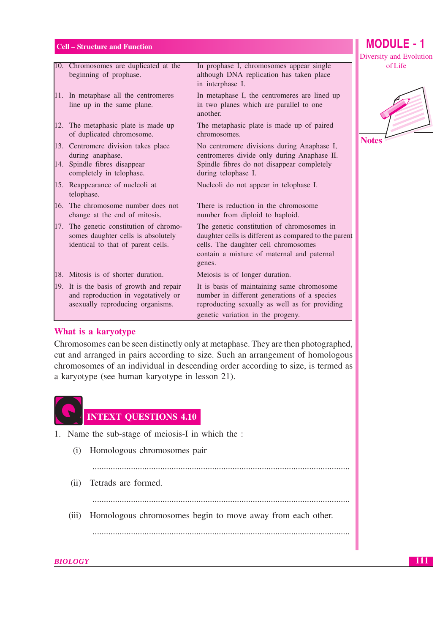|                                                                                                                     |                                                                                                                                                                                                     | ייש |
|---------------------------------------------------------------------------------------------------------------------|-----------------------------------------------------------------------------------------------------------------------------------------------------------------------------------------------------|-----|
| 10. Chromosomes are duplicated at the<br>beginning of prophase.                                                     | In prophase I, chromosomes appear single<br>although DNA replication has taken place<br>in interphase I.                                                                                            |     |
| 11. In metaphase all the centromeres<br>line up in the same plane.                                                  | In metaphase I, the centromeres are lined up<br>in two planes which are parallel to one<br>another.                                                                                                 |     |
| 12. The metaphasic plate is made up<br>of duplicated chromosome.                                                    | The metaphasic plate is made up of paired<br>chromosomes.                                                                                                                                           | N   |
| 13. Centromere division takes place<br>during anaphase.<br>14. Spindle fibres disappear<br>completely in telophase. | No centromere divisions during Anaphase I,<br>centromeres divide only during Anaphase II.<br>Spindle fibres do not disappear completely<br>during telophase I.                                      |     |
| 15. Reappearance of nucleoli at<br>telophase.                                                                       | Nucleoli do not appear in telophase I.                                                                                                                                                              |     |
| 16. The chromosome number does not<br>change at the end of mitosis.                                                 | There is reduction in the chromosome<br>number from diploid to haploid.                                                                                                                             |     |
| 17. The genetic constitution of chromo-<br>somes daughter cells is absolutely<br>identical to that of parent cells. | The genetic constitution of chromosomes in<br>daughter cells is different as compared to the parent<br>cells. The daughter cell chromosomes<br>contain a mixture of maternal and paternal<br>genes. |     |
| 18. Mitosis is of shorter duration.                                                                                 | Meiosis is of longer duration.                                                                                                                                                                      |     |
| 19. It is the basis of growth and repair<br>and reproduction in vegetatively or<br>asexually reproducing organisms. | It is basis of maintaining same chromosome<br>number in different generations of a species<br>reproducting sexually as well as for providing<br>genetic variation in the progeny.                   |     |

#### What is a karyotype

Chromosomes can be seen distinctly only at metaphase. They are then photographed, cut and arranged in pairs according to size. Such an arrangement of homologous chromosomes of an individual in descending order according to size, is termed as a karyotype (see human karyotype in lesson 21).



- 1. Name the sub-stage of meiosis-I in which the :
	- (i) Homologous chromosomes pair

 $(ii)$ Tetrads are formed.

(iii) Homologous chromosomes begin to move away from each other.

# **MODULE - 1**

Diversity and Evolution of Life

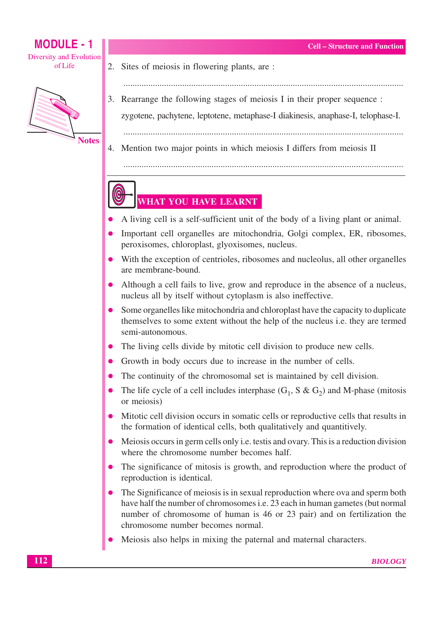

- 2. Sites of meiosis in flowering plants, are:
- 3. Rearrange the following stages of meiosis I in their proper sequence :
	- zygotene, pachytene, leptotene, metaphase-I diakinesis, anaphase-I, telophase-I.

4. Mention two major points in which meiosis I differs from meiosis II

## WHAT YOU HAVE LEARNT

- A living cell is a self-sufficient unit of the body of a living plant or animal.
- Important cell organelles are mitochondria, Golgi complex, ER, ribosomes, peroxisomes, chloroplast, glyoxisomes, nucleus.
- With the exception of centrioles, ribosomes and nucleolus, all other organelles are membrane-bound.
- Although a cell fails to live, grow and reproduce in the absence of a nucleus. nucleus all by itself without cytoplasm is also ineffective.
- Some organielles like mitochondria and chloroplast have the capacity to duplicate themselves to some extent without the help of the nucleus i.e. they are termed semi-autonomous.
- The living cells divide by mitotic cell division to produce new cells.
- Growth in body occurs due to increase in the number of cells.
- The continuity of the chromosomal set is maintained by cell division.
- The life cycle of a cell includes interphase  $(G_1, S \& G_2)$  and M-phase (mitosis or meiosis)
- Mitotic cell division occurs in somatic cells or reproductive cells that results in the formation of identical cells, both qualitatively and quantitively.
- Meiosis occurs in germ cells only *i.e.* test is and ovary. This is a reduction division  $\bullet$ where the chromosome number becomes half.
- The significance of mitosis is growth, and reproduction where the product of reproduction is identical.
- The Significance of meiosis is in sexual reproduction where ova and sperm both have half the number of chromosomes *i.e.* 23 each in human gametes (but normal number of chromosome of human is 46 or 23 pair) and on fertilization the chromosome number becomes normal.
- Meiosis also helps in mixing the paternal and maternal characters.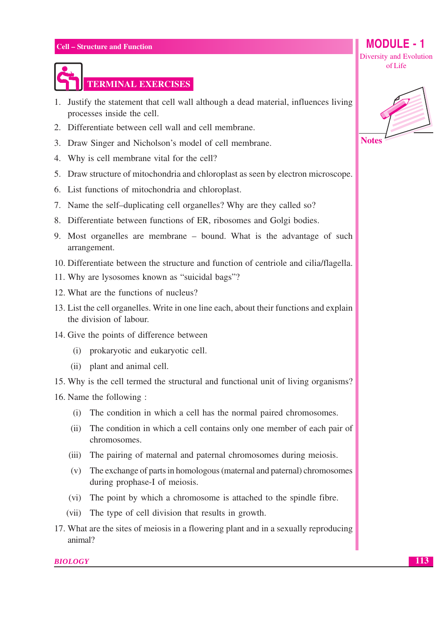

## **TERMINAL EXERCISES**

- 1. Justify the statement that cell wall although a dead material, influences living processes inside the cell.
- 2. Differentiate between cell wall and cell membrane.
- 3. Draw Singer and Nicholson's model of cell membrane.
- 4. Why is cell membrane vital for the cell?
- 5. Draw structure of mitochondria and chloroplast as seen by electron microscope.
- 6. List functions of mitochondria and chloroplast.
- 7. Name the self-duplicating cell organelles? Why are they called so?
- 8. Differentiate between functions of ER, ribosomes and Golgi bodies.
- 9. Most organelles are membrane bound. What is the advantage of such arrangement.
- 10. Differentiate between the structure and function of centriole and cilia/flagella.
- 11. Why are lysosomes known as "suicidal bags"?
- 12. What are the functions of nucleus?
- 13. List the cell organelles. Write in one line each, about their functions and explain the division of labour.
- 14. Give the points of difference between
	- (i) prokaryotic and eukaryotic cell.
	- (ii) plant and animal cell.
- 15. Why is the cell termed the structural and functional unit of living organisms?
- 16. Name the following:
	- (i) The condition in which a cell has the normal paired chromosomes.
	- $(ii)$ The condition in which a cell contains only one member of each pair of chromosomes.
	- (iii) The pairing of maternal and paternal chromosomes during meiosis.
	- $(v)$ The exchange of parts in homologous (maternal and paternal) chromosomes during prophase-I of meiosis.
	- (vi) The point by which a chromosome is attached to the spindle fibre.
	- $(vii)$ The type of cell division that results in growth.
- 17. What are the sites of meiosis in a flowering plant and in a sexually reproducing animal?

**BIOLOGY** 



**MODULE - 1** 

Diversity and Evolution of Life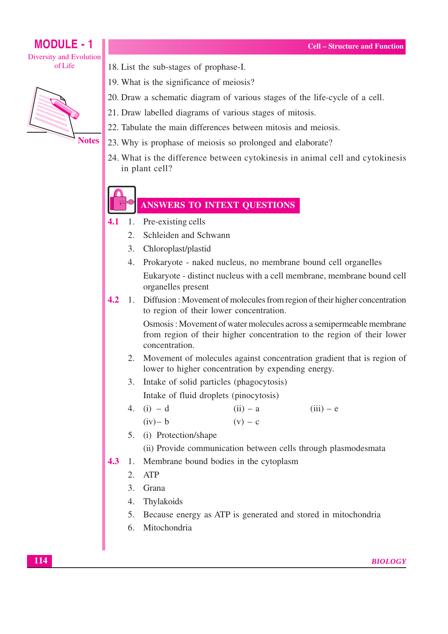

18. List the sub-stages of prophase-I.

- 19. What is the significance of meiosis?
- 20. Draw a schematic diagram of various stages of the life-cycle of a cell.
- 21. Draw labelled diagrams of various stages of mitosis.
- 22. Tabulate the main differences between mitosis and meiosis.
- 23. Why is prophase of meiosis so prolonged and elaborate?
- 24. What is the difference between cytokinesis in animal cell and cytokinesis in plant cell?

## **ANSWERS TO INTEXT QUESTIONS**

- Pre-existing cells  $4.1$  $\overline{1}$ .
	- $2<sup>1</sup>$ Schleiden and Schwann
	- $3.$ Chloroplast/plastid
	- 4. Prokaryote naked nucleus, no membrane bound cell organelles

Eukaryote - distinct nucleus with a cell membrane, membrane bound cell organelles present

1. Diffusion: Movement of molecules from region of their higher concentration  $4.2$ to region of their lower concentration.

> Osmosis: Movement of water molecules across a semipermeable membrane from region of their higher concentration to the region of their lower concentration.

- 2. Movement of molecules against concentration gradient that is region of lower to higher concentration by expending energy.
- 3. Intake of solid particles (phagocytosis) Intake of fluid droplets (pinocytosis)
- 4. (i)  $-d$  $(ii) - a$  $(iii) - e$  $(iv)$ - b  $(v) - c$
- 5. (i) Protection/shape

(ii) Provide communication between cells through plasmodesmata

- 4.3 1. Membrane bound bodies in the cytoplasm
	- $2$  ATP
	- 3. Grana
	- 4. Thylakoids
	- 5. Because energy as ATP is generated and stored in mitochondria
	- 6. Mitochondria

**BIOLOGY**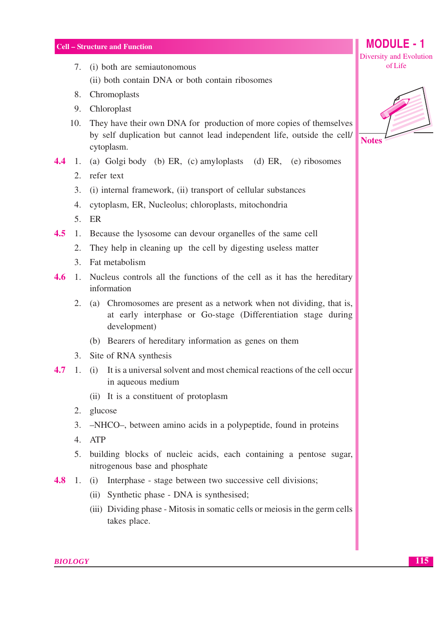- 7. (i) both are semiautonomous (ii) both contain DNA or both contain ribosomes
- 8. Chromoplasts
- 9. Chloroplast
- 10. They have their own DNA for production of more copies of themselves by self duplication but cannot lead independent life, outside the cell/ cytoplasm.
- **4.4** 1. (a) Golgi body (b) ER, (c) amyloplasts (d) ER, (e) ribosomes
	- 2. refer text
	- 3. (i) internal framework, (ii) transport of cellular substances
	- 4. cytoplasm, ER, Nucleolus; chloroplasts, mitochondria
	- $5.$  ER
- 4.5 1. Because the lysosome can devour organelles of the same cell
	- 2. They help in cleaning up the cell by digesting useless matter
	- 3. Fat metabolism
- $4.6$ 1. Nucleus controls all the functions of the cell as it has the hereditary information
	- 2. (a) Chromosomes are present as a network when not dividing, that is, at early interphase or Go-stage (Differentiation stage during development)
		- (b) Bearers of hereditary information as genes on them
	- 3. Site of RNA synthesis
- $1.$  (i) It is a universal solvent and most chemical reactions of the cell occur 4.7 in aqueous medium
	- (ii) It is a constituent of protoplasm
	- 2. glucose
	- 3. -NHCO-, between amino acids in a polypeptide, found in proteins
	- 4. ATP
	- 5. building blocks of nucleic acids, each containing a pentose sugar, nitrogenous base and phosphate
- 1. (i) Interphase stage between two successive cell divisions; 4.8
	- (ii) Synthetic phase DNA is synthesised;
	- (iii) Dividing phase Mitosis in somatic cells or meiosis in the germ cells takes place.



**MODULE - 1** 

Diversity and Evolution of Life